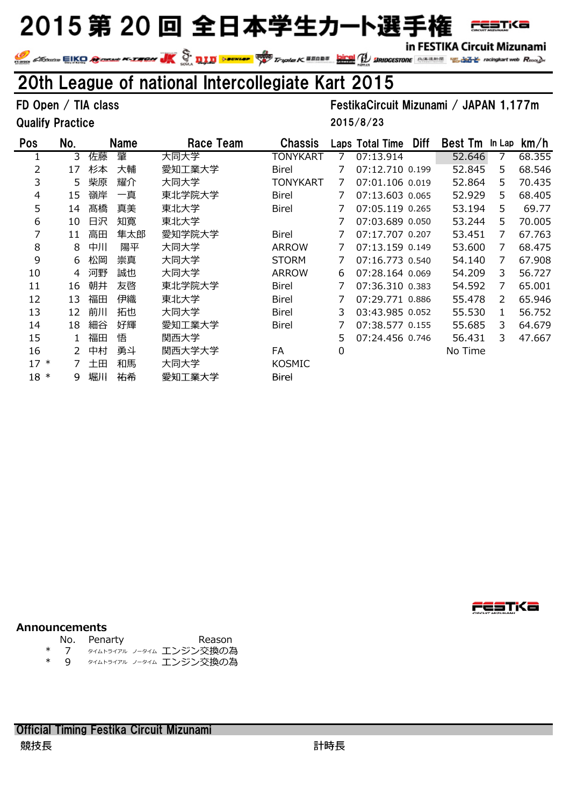in FESTIKA Circuit Mizunami

FESTK**a** 

In FESTINA CITCUIT MIZUNAMI<br>We change EIKO Research Call Testing Control Constant Constant Constant Constant Constant Constant Constant Constant Constant Constant Constant Constant Constant Constant Constant Constant Const

### 20th League of national Intercollegiate Kart 2015

Qualify Practice

FD Open / TIA class FestikaCircuit Mizunami / JAPAN 1,177m

2015/8/23

| Pos    | No. |    | <b>Name</b> | Race Team | <b>Chassis</b> |   | Laps Total Time | <b>Diff</b> | <b>Best Tm</b> | In Lap | km/h   |
|--------|-----|----|-------------|-----------|----------------|---|-----------------|-------------|----------------|--------|--------|
|        | 3   | 佐藤 | 肇           | 大同大学      | TONYKART       |   | 07:13.914       |             | 52.646         |        | 68.355 |
| 2      | 17  | 杉本 | 大輔          | 愛知工業大学    | Birel          |   | 07:12.710 0.199 |             | 52.845         | 5.     | 68.546 |
| 3      | 5   | 柴原 | 耀介          | 大同大学      | TONYKART       | 7 | 07:01.106 0.019 |             | 52.864         | 5      | 70.435 |
| 4      | 15  | 嶺岸 | 一真          | 東北学院大学    | Birel          |   | 07:13.603 0.065 |             | 52.929         | 5      | 68.405 |
| 5      | 14  | 髙橋 | 真美          | 東北大学      | <b>Birel</b>   |   | 07:05.119 0.265 |             | 53.194         | 5      | 69.77  |
| 6      | 10  | 日沢 | 知寛          | 東北大学      |                |   | 07:03.689 0.050 |             | 53.244         | 5.     | 70.005 |
| 7      | 11  | 高田 | 隼太郎         | 愛知学院大学    | <b>Birel</b>   |   | 07:17.707 0.207 |             | 53.451         | 7      | 67.763 |
| 8      | 8   | 中川 | 陽平          | 大同大学      | <b>ARROW</b>   |   | 07:13.159 0.149 |             | 53.600         | 7      | 68.475 |
| 9      | 6   | 松岡 | 崇真          | 大同大学      | <b>STORM</b>   |   | 07:16.773 0.540 |             | 54.140         | 7      | 67.908 |
| 10     | 4   | 河野 | 誠也          | 大同大学      | <b>ARROW</b>   | 6 | 07:28.164 0.069 |             | 54.209         | 3      | 56.727 |
| 11     | 16  | 朝井 | 友啓          | 東北学院大学    | <b>Birel</b>   |   | 07:36.310 0.383 |             | 54.592         | 7      | 65.001 |
| 12     | 13  | 福田 | 伊織          | 東北大学      | <b>Birel</b>   |   | 07:29.771 0.886 |             | 55.478         | 2      | 65.946 |
| 13     | 12  | 前川 | 拓也          | 大同大学      | <b>Birel</b>   | 3 | 03:43.985 0.052 |             | 55.530         | 1      | 56.752 |
| 14     | 18  | 細谷 | 好輝          | 愛知工業大学    | <b>Birel</b>   |   | 07:38.577 0.155 |             | 55.685         | 3.     | 64.679 |
| 15     |     | 福田 | 悟           | 関西大学      |                | 5 | 07:24.456 0.746 |             | 56.431         | 3.     | 47.667 |
| 16     | 2   | 中村 | 勇斗          | 関西大学大学    | FA             | 0 |                 |             | No Time        |        |        |
| $17 *$ |     | 土田 | 和馬          | 大同大学      | <b>KOSMIC</b>  |   |                 |             |                |        |        |
| $18 *$ | 9   | 堀川 | 祐希          | 愛知工業大学    | <b>Birel</b>   |   |                 |             |                |        |        |

FESTi<a

#### **Announcements**

- No. Penarty Reason
- \* 7 タイムトライアル フータイム エンジン交換の為<br>\* 9 タイムトライアル フータイム エンジン交換の為
- タイムトライアル ノータイム エンジン交換の為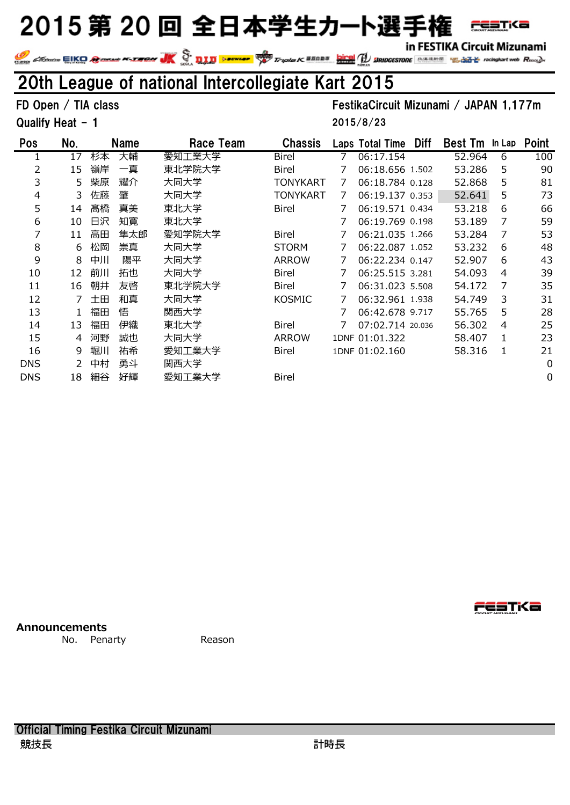in FESTIKA Circuit Mizunami

**FESTKa** 

In FESTIKA CITCUIT MIZUNAMI<br>We change EIKO Conserved Rought Control Conserved Conserved Conserved Conserved Conserved Conserved Rought Con

## 20th League of national Intercollegiate Kart 2015

### FD Open / TIA class FestikaCircuit Mizunami / JAPAN 1,177m

Qualify Heat - 1

2015/8/23

| Pos        | No. |    | <b>Name</b> | Race Team | <b>Chassis</b> |   | Laps Total Time  | <b>Diff</b> | <b>Best Tm</b> | In Lap | <b>Point</b> |
|------------|-----|----|-------------|-----------|----------------|---|------------------|-------------|----------------|--------|--------------|
|            | 17  | 杉本 | 大輔          | 愛知工業大学    | <b>Birel</b>   |   | 06:17.154        |             | 52.964         | 6      | 100          |
| 2          | 15  | 嶺岸 | 一真          | 東北学院大学    | Birel          |   | 06:18.656 1.502  |             | 53.286         | 5      | 90           |
| 3          | 5.  | 柴原 | 耀介          | 大同大学      | TONYKART       | 7 | 06:18.784 0.128  |             | 52.868         | 5      | 81           |
| 4          | 3   | 佐藤 | 肇           | 大同大学      | TONYKART       | 7 | 06:19.137 0.353  |             | 52.641         | 5      | 73           |
| 5          | 14  | 髙橋 | 真美          | 東北大学      | Birel          |   | 06:19.571 0.434  |             | 53.218         | 6      | 66           |
| 6          | 10  | 日沢 | 知寛          | 東北大学      |                |   | 06:19.769 0.198  |             | 53.189         | 7      | 59           |
| 7          | 11  | 高田 | 隼太郎         | 愛知学院大学    | Birel          |   | 06:21.035 1.266  |             | 53.284         | 7      | 53           |
| 8          | 6   | 松岡 | 崇真          | 大同大学      | <b>STORM</b>   |   | 06:22.087 1.052  |             | 53.232         | 6      | 48           |
| 9          | 8   | 中川 | 陽平          | 大同大学      | <b>ARROW</b>   |   | 06:22.234 0.147  |             | 52.907         | 6      | 43           |
| 10         | 12  | 前川 | 拓也          | 大同大学      | <b>Birel</b>   |   | 06:25.515 3.281  |             | 54.093         | 4      | 39           |
| 11         | 16  | 朝井 | 友啓          | 東北学院大学    | Birel          |   | 06:31.023 5.508  |             | 54.172         | 7      | 35           |
| 12         |     | 土田 | 和真          | 大同大学      | <b>KOSMIC</b>  |   | 06:32.961 1.938  |             | 54.749         | 3      | 31           |
| 13         |     | 福田 | 悟           | 関西大学      |                |   | 06:42.678 9.717  |             | 55.765         | 5      | 28           |
| 14         | 13  | 福田 | 伊織          | 東北大学      | Birel          |   | 07:02.714 20.036 |             | 56.302         | 4      | 25           |
| 15         | 4   | 河野 | 誠也          | 大同大学      | <b>ARROW</b>   |   | 1DNF 01:01.322   |             | 58.407         | 1      | 23           |
| 16         | 9   | 堀川 | 祐希          | 愛知工業大学    | <b>Birel</b>   |   | 1DNF 01:02.160   |             | 58.316         | 1      | 21           |
| <b>DNS</b> |     | 中村 | 勇斗          | 関西大学      |                |   |                  |             |                |        | $\mathbf 0$  |
| <b>DNS</b> | 18  | 細谷 | 好輝          | 愛知工業大学    | Birel          |   |                  |             |                |        | 0            |

**Announcements**

No. Penarty **Reason** 

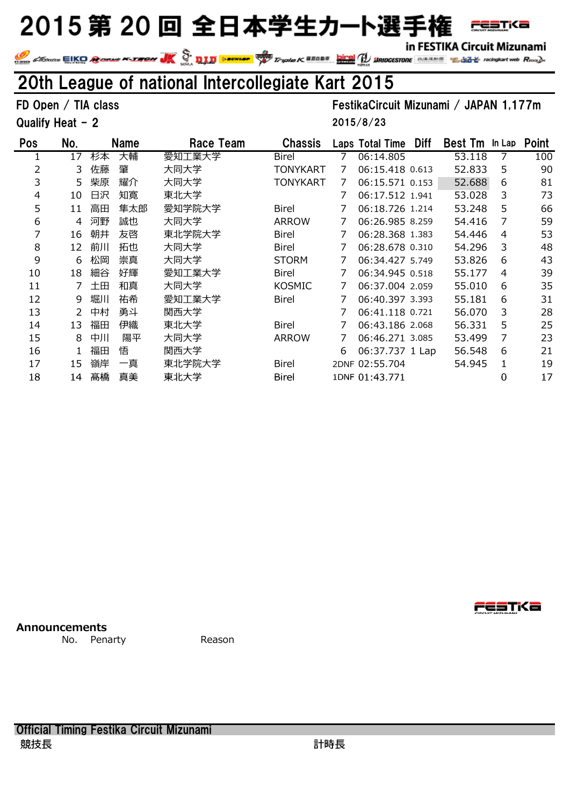in FESTIKA Circuit Mizunami

**FESTKa** 

In FESTIKA CITCUIT MIZUNAMI<br>We change EIKO Conserved Rought Control Conserved Conserved Conserved Conserved Conserved Conserved Rought Con

## 20th League of national Intercollegiate Kart 2015

Qualify Heat - 2

### FD Open / TIA class FestikaCircuit Mizunami / JAPAN 1,177m

2015/8/23

| Pos                  | No.            |         | <b>Name</b> | Race Team | <b>Chassis</b>  |                | Laps Total Time Diff | Best Tm In Lap Point |                |     |
|----------------------|----------------|---------|-------------|-----------|-----------------|----------------|----------------------|----------------------|----------------|-----|
| $\mathbf{1}$         | 17             | 杉本      | 大輔          | 愛知工業大学    | Birel           | 7              | 06:14.805            | 53.118               | 7              | 100 |
| $\overline{2}$       | 3              | 佐藤      | 肇           | 大同大学      | <b>TONYKART</b> | 7              | 06:15.418 0.613      | 52.833               | 5              | 90  |
| 3                    | 5              | 柴原      | 耀介          | 大同大学      | <b>TONYKART</b> | 7              | 06:15.571 0.153      | 52.688               | 6              | 81  |
| $\overline{4}$       | 10             | 日沢      | 知寛          | 東北大学      |                 | 7              | 06:17.512 1.941      | 53.028               | 3              | 73  |
| 5                    | 11             | 高田      | 隼太郎         | 愛知学院大学    | Birel           | 7              | 06:18.726 1.214      | 53.248               | 5              | 66  |
| 6                    | $\overline{4}$ | 河野      | 誠也          | 大同大学      | <b>ARROW</b>    | 7              | 06:26.985 8.259      | 54.416               | 7              | 59  |
| $\overline{7}$       | 16             | 朝井      | 友啓          | 東北学院大学    | Birel           | 7              | 06:28.368 1.383      | 54.446               | $\overline{4}$ | 53  |
| 8                    | 12             | 前川      | 拓也          | 大同大学      | Birel           | 7              | 06:28.678 0.310      | 54.296               | 3              | 48  |
| 9                    | 6              | 松岡      | 崇真          | 大同大学      | <b>STORM</b>    | 7              | 06:34.427 5.749      | 53.826               | 6              | 43  |
| 10                   | 18             | 細谷      | 好輝          | 愛知工業大学    | Birel           | 7              | 06:34.945 0.518      | 55.177               | 4              | 39  |
| 11                   | 7              | 土田      | 和真          | 大同大学      | KOSMIC          | 7              | 06:37.004 2.059      | 55.010               | 6              | 35  |
| 12                   | 9              | 堀川      | 祐希          | 愛知工業大学    | Birel           | 7              | 06:40.397 3.393      | 55.181               | 6              | 31  |
| 13                   | 2              | 中村      | 勇斗          | 関西大学      |                 | 7              | 06:41.118 0.721      | 56.070               | 3              | 28  |
| 14                   | 13             | 福田      | 伊織          | 東北大学      | Birel           | 7              | 06:43.186 2.068      | 56.331               | 5              | 25  |
| 15                   | 8              | 中川      | 陽平          | 大同大学      | <b>ARROW</b>    | $\overline{7}$ | 06:46.271 3.085      | 53.499               | 7              | 23  |
| 16                   | $\mathbf{1}$   | 福田      | 悟           | 関西大学      |                 | 6              | 06:37.737 1 Lap      | 56.548               | 6              | 21  |
| 17                   | 15             | 嶺岸      | 一真          | 東北学院大学    | Birel           |                | 2DNF 02:55.704       | 54.945               | $\mathbf{1}$   | 19  |
| 18                   | 14             | 髙橋      | 真美          | 東北大学      | Birel           |                | 1DNF 01:43.771       |                      | 0              | 17  |
|                      |                |         |             |           |                 |                |                      |                      |                |     |
| <b>Announcements</b> |                |         |             |           |                 |                |                      |                      | res no         |     |
|                      | No.            | Penarty |             | Reason    |                 |                |                      |                      |                |     |

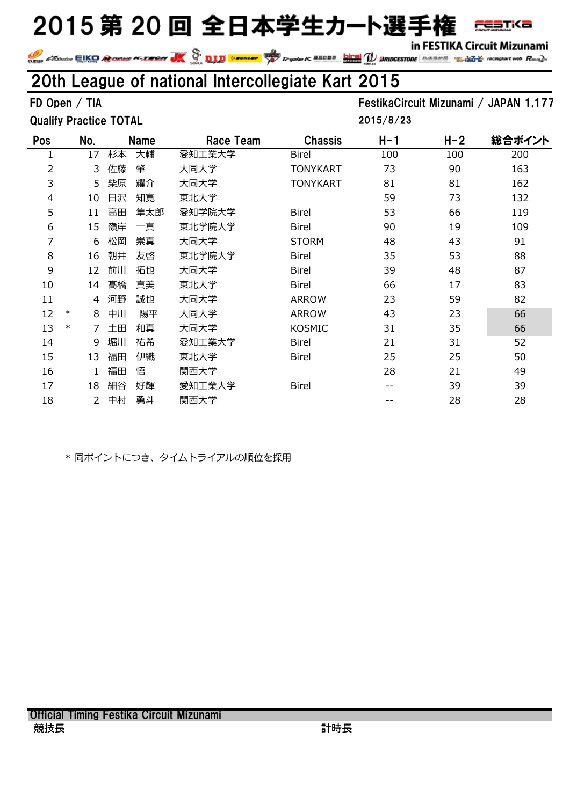in FESTIKA Circuit Mizunami

**FESTKa** 

IN FESTINA CITCUIT MIZUNAMI<br>Website Change Compart web Rooks Not the Compart of Second Compart of Second Compart (Second Compart Website C<br>Second Compart Web Rooks Not the Second Compart Web Rooks Not the Second Compart We

### 20th League of national Intercollegiate Kart 2015

Qualify Practice TOTAL

FD Open / TIA FestikaCircuit Mizunami / JAPAN 1,177 2015/8/23

| Pos            |        | No. |    | <b>Name</b> | Race Team | <b>Chassis</b>  | $H-1$ | H-2 | 総合ポイント |
|----------------|--------|-----|----|-------------|-----------|-----------------|-------|-----|--------|
| 1              |        | 17  | 杉本 | 大輔          | 愛知工業大学    | <b>Birel</b>    | 100   | 100 | 200    |
| $\overline{2}$ |        | 3   | 佐藤 | 肇           | 大同大学      | <b>TONYKART</b> | 73    | 90  | 163    |
| 3              |        | 5   | 柴原 | 耀介          | 大同大学      | <b>TONYKART</b> | 81    | 81  | 162    |
| $\overline{4}$ |        | 10  | 日沢 | 知寛          | 東北大学      |                 | 59    | 73  | 132    |
| 5              |        | 11  | 高田 | 隼太郎         | 愛知学院大学    | <b>Birel</b>    | 53    | 66  | 119    |
| 6              |        | 15  | 嶺岸 | 一真          | 東北学院大学    | <b>Birel</b>    | 90    | 19  | 109    |
| 7              |        | 6   | 松岡 | 崇真          | 大同大学      | <b>STORM</b>    | 48    | 43  | 91     |
| 8              |        | 16  | 朝井 | 友啓          | 東北学院大学    | <b>Birel</b>    | 35    | 53  | 88     |
| 9              |        | 12  | 前川 | 拓也          | 大同大学      | <b>Birel</b>    | 39    | 48  | 87     |
| 10             |        | 14  | 髙橋 | 真美          | 東北大学      | <b>Birel</b>    | 66    | 17  | 83     |
| 11             |        | 4   | 河野 | 誠也          | 大同大学      | <b>ARROW</b>    | 23    | 59  | 82     |
| 12             | $\ast$ | 8   | 中川 | 陽平          | 大同大学      | <b>ARROW</b>    | 43    | 23  | 66     |
| 13             | $\ast$ | 7   | 土田 | 和真          | 大同大学      | <b>KOSMIC</b>   | 31    | 35  | 66     |
| 14             |        | 9   | 堀川 | 祐希          | 愛知工業大学    | <b>Birel</b>    | 21    | 31  | 52     |
| 15             |        | 13  | 福田 | 伊織          | 東北大学      | <b>Birel</b>    | 25    | 25  | 50     |
| 16             |        |     | 福田 | 悟           | 関西大学      |                 | 28    | 21  | 49     |
| 17             |        | 18  | 細谷 | 好輝          | 愛知工業大学    | <b>Birel</b>    | --    | 39  | 39     |
| 18             |        | 2   | 中村 | 勇斗          | 関西大学      |                 |       | 28  | 28     |
|                |        |     |    |             |           |                 |       |     |        |

\* 同ポイントにつき、タイムトライアルの順位を採用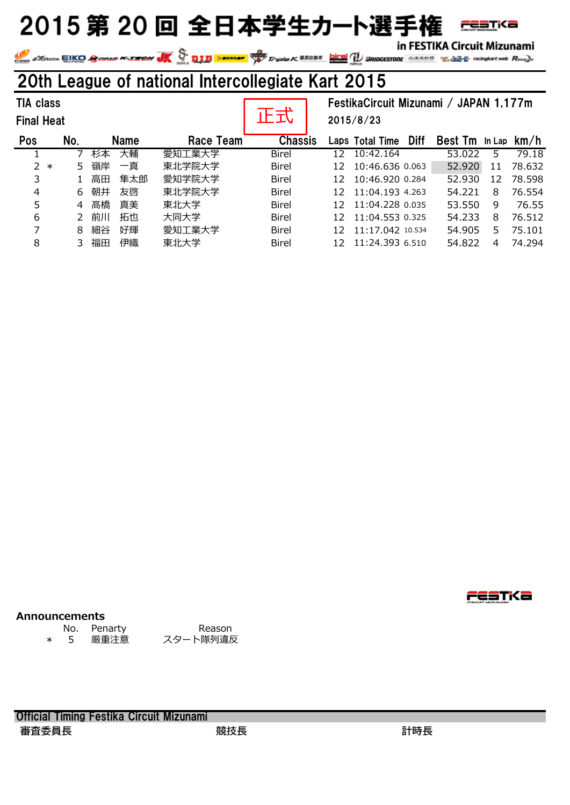in FESTIKA Circuit Mizunami

**FESTKa** 

**SEARCH AND THE STILL INIZURAL PROPERTY OF A STATE OF A STATE OF A STATE OF A STATE OF A STATE OF A STATE OF A STATE OF A STATE OF A STATE OF A STATE OF A STATE OF A STATE OF A STATE OF A STATE OF A STATE OF A STATE OF A S** 

### 20th League of national Intercollegiate Kart 2015

| <b>TIA class</b><br><b>Final Heat</b> |     |             |     |           |                | FestikaCircuit Mizunami / JAPAN 1,177m<br>2015/8/23 |                  |             |                |    |        |
|---------------------------------------|-----|-------------|-----|-----------|----------------|-----------------------------------------------------|------------------|-------------|----------------|----|--------|
| Pos                                   | No. | <b>Name</b> |     | Race Team | <b>Chassis</b> |                                                     | Laps Total Time  | <b>Diff</b> | Best Tm In Lap |    | km/h   |
|                                       |     | 杉本          | 大輔  | 愛知工業大学    | <b>Birel</b>   | 12                                                  | 10:42.164        |             | 53.022         | 5. | 79.18  |
| $2 *$                                 | 5.  | 嶺岸          | 一真  | 東北学院大学    | <b>Birel</b>   | 12                                                  | 10:46.636 0.063  |             | 52.920         | 11 | 78.632 |
| 3                                     |     | 高田          | 隼太郎 | 愛知学院大学    | <b>Birel</b>   | 12                                                  | 10:46.920 0.284  |             | 52,930         | 12 | 78.598 |
| 4                                     | 6   | 朝井          | 友啓  | 東北学院大学    | <b>Birel</b>   | 12                                                  | 11:04.193 4.263  |             | 54.221         | 8  | 76.554 |
| 5                                     | 4   | 髙橋          | 真美  | 東北大学      | <b>Birel</b>   | 12                                                  | 11:04.228 0.035  |             | 53.550         | 9  | 76.55  |
| 6                                     |     | 前川          | 拓也  | 大同大学      | <b>Birel</b>   | 12                                                  | 11:04.553 0.325  |             | 54.233         | 8  | 76.512 |
| 7                                     | 8   | 細谷          | 好輝  | 愛知工業大学    | <b>Birel</b>   | 12                                                  | 11:17.042 10.534 |             | 54.905         | 5. | 75.101 |
| 8                                     | 3   | 福田          | 伊織  | 東北大学      | <b>Birel</b>   | 12                                                  | 11:24.393 6.510  |             | 54.822         | 4  | 74.294 |

#### **Announcements**

\* 5 厳重注意 スタート隊列違反

No. Penarty Reason

Official Timing Festika Circuit Mizunami 審査委員⻑ 競技⻑ 計時⻑